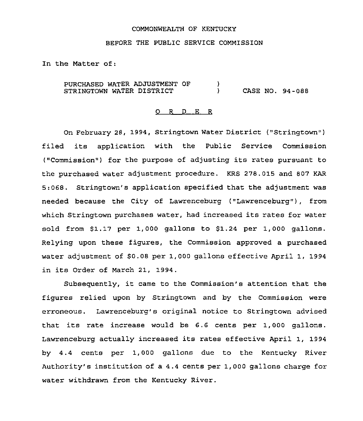### COMMONWEALTH OF KENTUCKY

### BEFORE THE PUBLIC SERVICE COMMISSION

In the Matter of:

PURCHASED WATER ADJUSTMENT OF STRINGTOWN WATER DISTRICT  $\left\{ \right.$ ) CASE NO. 94-088

#### 0 <sup>R</sup> <sup>D</sup> E <sup>R</sup>

On February 28, 1994, Stringtown Water District ("Stringtown") filed its application with the Public Service Commission ("Commission") for the purpose of adjusting its rates pursuant to the purchased water adjustment procedure. KRS 278.015 and 807 KAR 5:068. Stringtown's application specified that the adjustment was needed because the City of Lawrenceburg ("Lawrenceburg"), from which Stringtown purchases water, had increased its rates for water sold from \$1.17 per 1,000 gallons to \$1.24 per 1,000 gallons. Relying upon these figures, the Commission approved a purchased water adjustment of \$0.08 per 1,000 gallons effective April 1, 1994 in its Order of March 21, 1994.

Subsequently, it came to the Commission's attention that the figures relied upon by Stringtown and by the Commission were erroneous. Lawrenceburg's original notice to Stringtown advised that its rate increase would be 6.6 cents per 1,000 gallons. Lawrenceburg actually increased its rates effective April 1, 1994 by 4.4 cents per 1,000 gallons due to the Kentucky River Authority's institution of a 4.4 cents per 1,000 gallons charge for water withdrawn from the Kentucky River.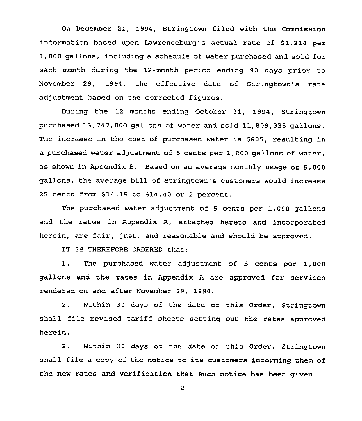On December 21, 1994, Stringtown filed with the Commission information based upon Lawrenceburg's actual rate of 51.214 per 1,000 gallons, including a schedule of water purchased and sold for each month during the 12-month period ending 90 days prior to November 29, 1994, the effective date of Stringtown's rate adjustment based on the corrected figures.

During the 12 months ending October 31, 1994, Stringtown purchased 13,747,000 gallons of water and sold 11,809,335 gallons. The increase in the cost of purchased water is \$605, resulting in a purchased water adjustment of <sup>5</sup> cents per 1,000 gallons of water, as shown in Appendix B. Based on an average monthly usage of 5,000 gallons, the average bill of Stringtown's customers would increase 25 cents from S14.15 to \$14.40 or <sup>2</sup> percent.

The purchased water adjustment of 5 cents per 1,000 gallons and the rates in Appendix A, attached hereto and incorporated herein, are fair, just, and reasonable and should be approved.

IT IS THEREFORE ORDERED that:

1. The purchased water adjustment of <sup>5</sup> cents per 1,000 gallons and the rates in Appendix <sup>A</sup> are approved for services rendered on and after November 29, 1994.

2. Within 30 days of the date of this Order, Stringtown shall file revised tariff sheets setting out the rates approved herein.

3. Within <sup>20</sup> days of the date of this Order, Stringtown shall file <sup>a</sup> copy of the notice to its customers informing them of the new rates and verification that such notice has been given.

 $-2-$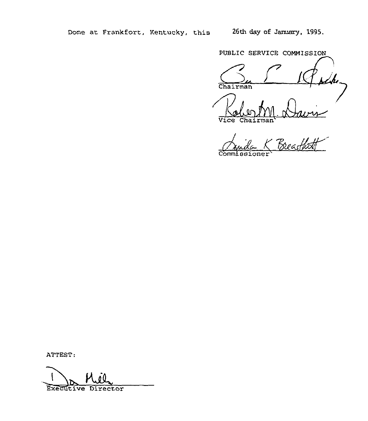PUBLIC SERVICE COMMISSION

Chairman Vice

 $\frac{1}{2}$  $\overline{\text{Comm}}$ 

ATTEST:

Executive Director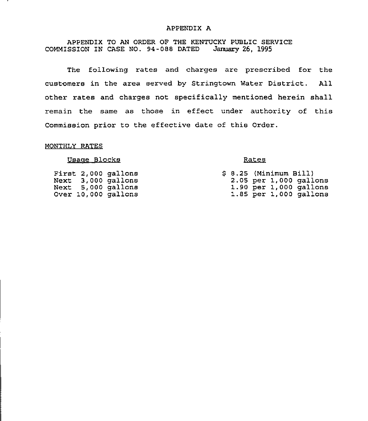## APPENDIX A

# APPENDIX TO AN ORDER OF THE KENTUCKY PUBLIC SERVICE COMMISSION IN CASE NO. 94-088 DATED January 26, 1995

The following rates and charges are prescribed for the customers in the area served by Stringtown Water District. All other rates and charges not specifically mentioned herein shall remain the same as those in effect under authority of this Commission prior to the effective date of this Order.

# MONTHLY RATES

## Usage Blocks

First 2,000 gallons Next 3,000 gallons Next 5,000 gallons Over 10,000 gallons

## Rates

|  | \$ 8.25 (Minimum Bill) |  |                          |  |
|--|------------------------|--|--------------------------|--|
|  |                        |  | $2.05$ per 1,000 gallons |  |
|  |                        |  | 1.90 per 1,000 gallons   |  |
|  |                        |  | 1.85 per 1,000 gallons   |  |